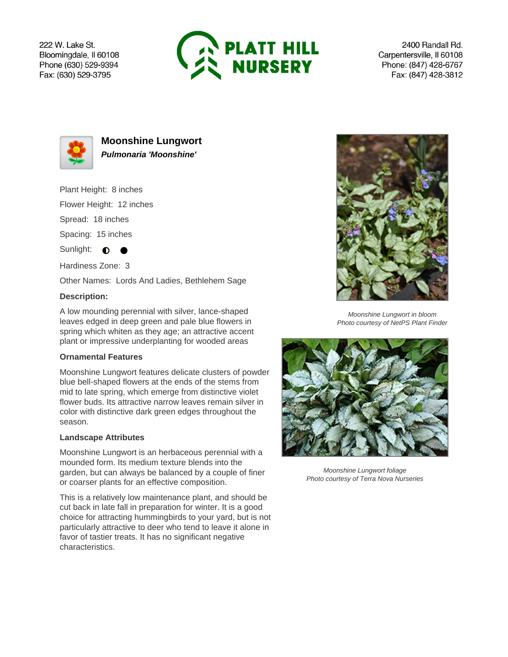222 W. Lake St. Bloomingdale, Il 60108 Phone (630) 529-9394 Fax: (630) 529-3795



2400 Randall Rd. Carpentersville, Il 60108 Phone: (847) 428-6767 Fax: (847) 428-3812



**Moonshine Lungwort Pulmonaria 'Moonshine'**

Plant Height: 8 inches

Flower Height: 12 inches

Spread: 18 inches

Spacing: 15 inches

Sunlight:  $\bullet$ 

Hardiness Zone: 3

Other Names: Lords And Ladies, Bethlehem Sage

## **Description:**

A low mounding perennial with silver, lance-shaped leaves edged in deep green and pale blue flowers in spring which whiten as they age; an attractive accent plant or impressive underplanting for wooded areas

## **Ornamental Features**

Moonshine Lungwort features delicate clusters of powder blue bell-shaped flowers at the ends of the stems from mid to late spring, which emerge from distinctive violet flower buds. Its attractive narrow leaves remain silver in color with distinctive dark green edges throughout the season.

## **Landscape Attributes**

Moonshine Lungwort is an herbaceous perennial with a mounded form. Its medium texture blends into the garden, but can always be balanced by a couple of finer or coarser plants for an effective composition.

This is a relatively low maintenance plant, and should be cut back in late fall in preparation for winter. It is a good choice for attracting hummingbirds to your yard, but is not particularly attractive to deer who tend to leave it alone in favor of tastier treats. It has no significant negative characteristics.



Moonshine Lungwort in bloom Photo courtesy of NetPS Plant Finder



Moonshine Lungwort foliage Photo courtesy of Terra Nova Nurseries